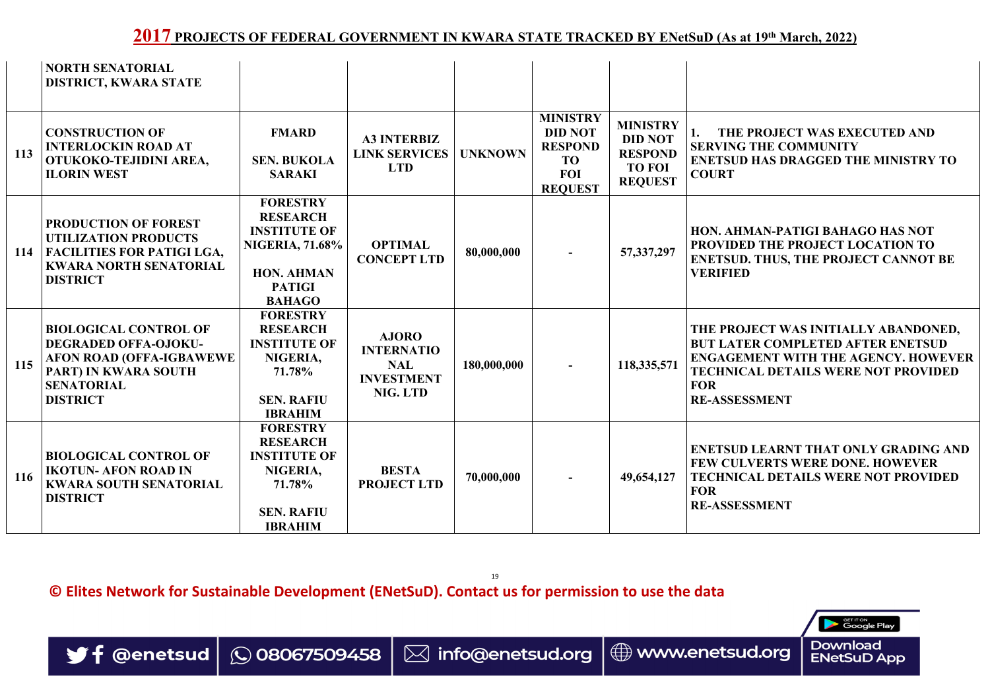19

**© Elites Network for Sustainable Development (ENetSuD). Contact us for permission to use the data**



|            | NORTH SENATORIAL<br><b>DISTRICT, KWARA STATE</b>                                                                                                                    |                                                                                                                                            |                                                                                  |                |                                                                                                  |                                                                                        |                                                                                                                                                                                                                      |
|------------|---------------------------------------------------------------------------------------------------------------------------------------------------------------------|--------------------------------------------------------------------------------------------------------------------------------------------|----------------------------------------------------------------------------------|----------------|--------------------------------------------------------------------------------------------------|----------------------------------------------------------------------------------------|----------------------------------------------------------------------------------------------------------------------------------------------------------------------------------------------------------------------|
| 113        | <b>CONSTRUCTION OF</b><br><b>INTERLOCKIN ROAD AT</b><br>OTUKOKO-TEJIDINI AREA,<br><b>ILORIN WEST</b>                                                                | <b>FMARD</b><br><b>SEN. BUKOLA</b><br><b>SARAKI</b>                                                                                        | <b>A3 INTERBIZ</b><br><b>LINK SERVICES</b><br><b>LTD</b>                         | <b>UNKNOWN</b> | <b>MINISTRY</b><br><b>DID NOT</b><br><b>RESPOND</b><br><b>TO</b><br><b>FOI</b><br><b>REQUEST</b> | <b>MINISTRY</b><br><b>DID NOT</b><br><b>RESPOND</b><br><b>TO FOI</b><br><b>REQUEST</b> | THE PROJECT WAS EXECUTED AND<br><b>SERVING THE COMMUNITY</b><br><b>ENETSUD HAS DRAGGED THE MINISTRY TO</b><br><b>COURT</b>                                                                                           |
| 114        | <b>PRODUCTION OF FOREST</b><br><b>UTILIZATION PRODUCTS</b><br><b>FACILITIES FOR PATIGI LGA,</b><br><b>KWARA NORTH SENATORIAL</b><br><b>DISTRICT</b>                 | <b>FORESTRY</b><br><b>RESEARCH</b><br><b>INSTITUTE OF</b><br><b>NIGERIA, 71.68%</b><br><b>HON. AHMAN</b><br><b>PATIGI</b><br><b>BAHAGO</b> | <b>OPTIMAL</b><br><b>CONCEPT LTD</b>                                             | 80,000,000     |                                                                                                  | 57, 337, 297                                                                           | HON. AHMAN-PATIGI BAHAGO HAS NOT<br><b>PROVIDED THE PROJECT LOCATION TO</b><br><b>ENETSUD. THUS, THE PROJECT CANNOT BE</b><br><b>VERIFIED</b>                                                                        |
|            | <b>BIOLOGICAL CONTROL OF</b><br><b>DEGRADED OFFA-OJOKU-</b><br>115 AFON ROAD (OFFA-IGBAWEWE)<br><b>PART) IN KWARA SOUTH</b><br><b>SENATORIAL</b><br><b>DISTRICT</b> | <b>FORESTRY</b><br><b>RESEARCH</b><br><b>INSTITUTE OF</b><br>NIGERIA,<br>71.78%<br><b>SEN. RAFIU</b><br><b>IBRAHIM</b>                     | <b>AJORO</b><br><b>INTERNATIO</b><br><b>NAL</b><br><b>INVESTMENT</b><br>NIG. LTD | 180,000,000    |                                                                                                  | 118,335,571                                                                            | THE PROJECT WAS INITIALLY ABANDONED,<br><b>BUT LATER COMPLETED AFTER ENETSUD</b><br><b>ENGAGEMENT WITH THE AGENCY. HOWEVER  </b><br><b>TECHNICAL DETAILS WERE NOT PROVIDED</b><br><b>FOR</b><br><b>RE-ASSESSMENT</b> |
| <b>116</b> | <b>BIOLOGICAL CONTROL OF</b><br><b>IKOTUN- AFON ROAD IN</b><br><b>KWARA SOUTH SENATORIAL</b><br><b>DISTRICT</b>                                                     | <b>FORESTRY</b><br><b>RESEARCH</b><br><b>INSTITUTE OF</b><br>NIGERIA,<br><b>71.78%</b><br><b>SEN. RAFIU</b>                                | <b>BESTA</b><br><b>PROJECT LTD</b>                                               | 70,000,000     |                                                                                                  | 49,654,127                                                                             | <b>ENETSUD LEARNT THAT ONLY GRADING AND</b><br><b>FEW CULVERTS WERE DONE. HOWEVER</b><br><b>TECHNICAL DETAILS WERE NOT PROVIDED</b><br><b>FOR</b><br><b>RE-ASSESSMENT</b>                                            |
|            |                                                                                                                                                                     | <b>IBRAHIM</b>                                                                                                                             |                                                                                  |                |                                                                                                  |                                                                                        |                                                                                                                                                                                                                      |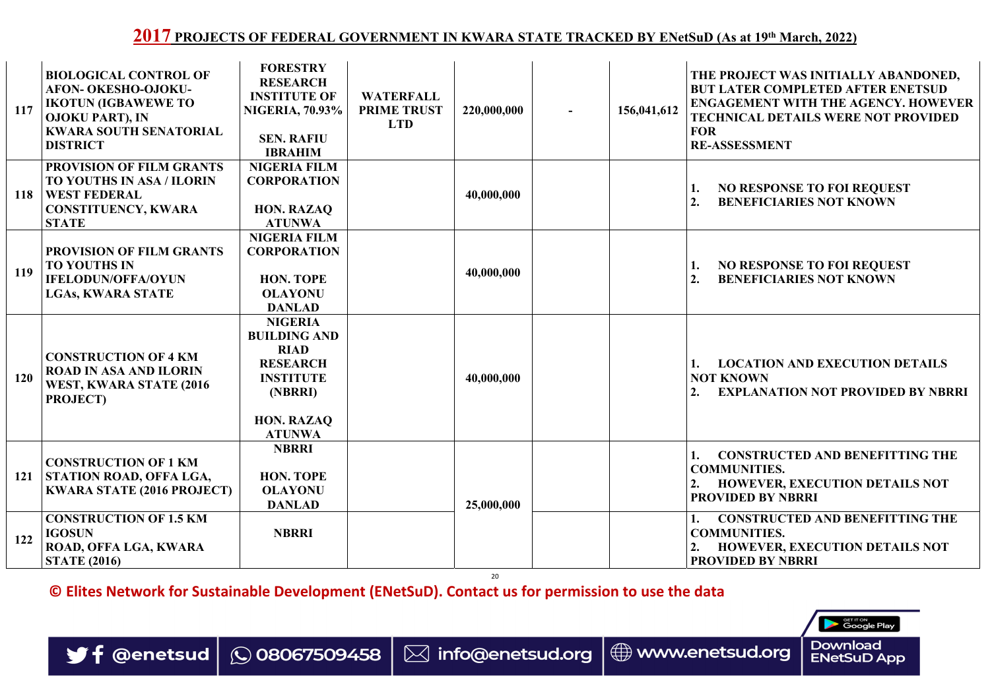20

**© Elites Network for Sustainable Development (ENetSuD). Contact us for permission to use the data**

| 117        | <b>BIOLOGICAL CONTROL OF</b><br><b>AFON- OKESHO-OJOKU-</b><br><b>IKOTUN (IGBAWEWE TO</b><br><b>OJOKU PART), IN</b><br><b>KWARA SOUTH SENATORIAL</b><br><b>DISTRICT</b> | <b>FORESTRY</b><br><b>RESEARCH</b><br><b>INSTITUTE OF</b><br><b>NIGERIA, 70.93%</b><br><b>SEN. RAFIU</b><br><b>IBRAHIM</b> | <b>WATERFALL</b><br><b>PRIME TRUST</b><br><b>LTD</b> | 220,000,000 |    | 156,041,612    |
|------------|------------------------------------------------------------------------------------------------------------------------------------------------------------------------|----------------------------------------------------------------------------------------------------------------------------|------------------------------------------------------|-------------|----|----------------|
| <b>118</b> | <b>PROVISION OF FILM GRANTS</b><br>TO YOUTHS IN ASA / ILORIN<br><b>WEST FEDERAL</b><br><b>CONSTITUENCY, KWARA</b><br><b>STATE</b>                                      | <b>NIGERIA FILM</b><br><b>CORPORATION</b><br><b>HON. RAZAQ</b><br><b>ATUNWA</b>                                            |                                                      | 40,000,000  |    |                |
| <b>119</b> | <b>PROVISION OF FILM GRANTS</b><br><b>TO YOUTHS IN</b><br><b>IFELODUN/OFFA/OYUN</b><br><b>LGAS, KWARA STATE</b>                                                        | <b>NIGERIA FILM</b><br><b>CORPORATION</b><br><b>HON. TOPE</b><br><b>OLAYONU</b><br><b>DANLAD</b>                           |                                                      | 40,000,000  |    |                |
| <b>120</b> | <b>CONSTRUCTION OF 4 KM</b><br><b>ROAD IN ASA AND ILORIN</b><br>WEST, KWARA STATE (2016)<br><b>PROJECT)</b>                                                            | <b>NIGERIA</b><br><b>BUILDING AND</b><br><b>RIAD</b><br><b>RESEARCH</b><br><b>INSTITUTE</b><br>(NBRRI)                     | U<br><b>Service</b>                                  | 40,000,000  | L. | $\blacksquare$ |
|            |                                                                                                                                                                        | <b>HON. RAZAQ</b><br><b>ATUNWA</b>                                                                                         |                                                      |             |    |                |
| <b>121</b> | <b>CONSTRUCTION OF 1 KM</b><br>STATION ROAD, OFFA LGA,<br><b>KWARA STATE (2016 PROJECT)</b>                                                                            | <b>NBRRI</b><br><b>HON. TOPE</b><br><b>OLAYONU</b><br><b>DANLAD</b>                                                        |                                                      | 25,000,000  |    |                |
| 122        | <b>CONSTRUCTION OF 1.5 KM</b><br><b>IGOSUN</b><br>ROAD, OFFA LGA, KWARA<br><b>STATE (2016)</b>                                                                         | <b>NBRRI</b>                                                                                                               |                                                      |             |    |                |

| <b>RFALL</b><br><b>TRUST</b><br>ГD | 220,000,000 | 156,041,612 | THE PROJECT WAS INITIALLY ABANDONED,<br><b>BUT LATER COMPLETED AFTER ENETSUD</b><br><b>ENGAGEMENT WITH THE AGENCY. HOWEVER</b><br><b>TECHNICAL DETAILS WERE NOT PROVIDED</b><br><b>FOR</b><br><b>RE-ASSESSMENT</b> |  |  |  |  |
|------------------------------------|-------------|-------------|--------------------------------------------------------------------------------------------------------------------------------------------------------------------------------------------------------------------|--|--|--|--|
|                                    | 40,000,000  |             | <b>NO RESPONSE TO FOI REQUEST</b><br>1.<br><b>BENEFICIARIES NOT KNOWN</b><br>2.                                                                                                                                    |  |  |  |  |
|                                    | 40,000,000  |             | <b>NO RESPONSE TO FOI REQUEST</b><br>1.<br><b>BENEFICIARIES NOT KNOWN</b><br>2.                                                                                                                                    |  |  |  |  |
|                                    | 40,000,000  |             | <b>LOCATION AND EXECUTION DETAILS</b><br><b>NOT KNOWN</b><br><b>EXPLANATION NOT PROVIDED BY NBRRI</b><br>2.                                                                                                        |  |  |  |  |
|                                    | 25,000,000  |             | <b>CONSTRUCTED AND BENEFITTING THE</b><br><b>COMMUNITIES.</b><br><b>HOWEVER, EXECUTION DETAILS NOT</b><br>2.<br><b>PROVIDED BY NBRRI</b>                                                                           |  |  |  |  |
|                                    |             |             | <b>CONSTRUCTED AND BENEFITTING THE</b><br><b>COMMUNITIES.</b><br><b>HOWEVER, EXECUTION DETAILS NOT</b><br>2.<br><b>PROVIDED BY NBRRI</b>                                                                           |  |  |  |  |



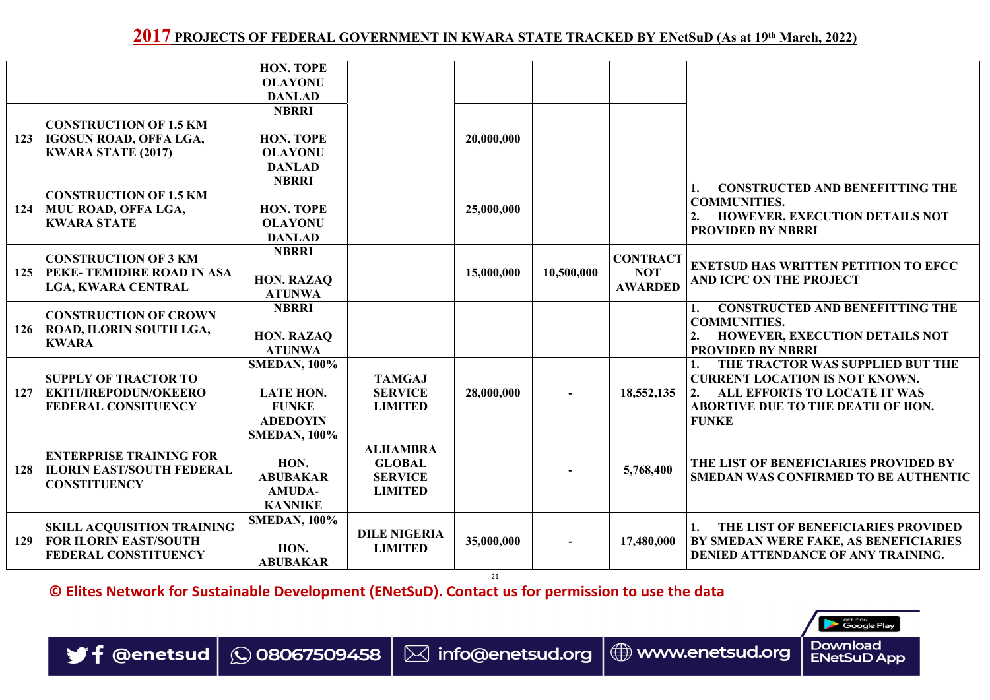21



**SETITON**<br>Google Play

**© Elites Network for Sustainable Development (ENetSuD). Contact us for permission to use the data**



|            |                                                                                                  | <b>HON. TOPE</b><br><b>OLAYONU</b><br><b>DANLAD</b>                               |                                                                      |            |            |                                                 |                                                                                                                                                                             |
|------------|--------------------------------------------------------------------------------------------------|-----------------------------------------------------------------------------------|----------------------------------------------------------------------|------------|------------|-------------------------------------------------|-----------------------------------------------------------------------------------------------------------------------------------------------------------------------------|
| 123        | <b>CONSTRUCTION OF 1.5 KM</b><br><b>IGOSUN ROAD, OFFA LGA,</b><br><b>KWARA STATE (2017)</b>      | <b>NBRRI</b><br><b>HON. TOPE</b><br><b>OLAYONU</b><br><b>DANLAD</b>               |                                                                      | 20,000,000 |            |                                                 |                                                                                                                                                                             |
| 124        | <b>CONSTRUCTION OF 1.5 KM</b><br>  MUU ROAD, OFFA LGA,<br><b>KWARA STATE</b>                     | <b>NBRRI</b><br><b>HON. TOPE</b><br><b>OLAYONU</b><br><b>DANLAD</b>               |                                                                      | 25,000,000 |            |                                                 | <b>CONSTRUCTED AND BENEFITTING THE</b><br><b>COMMUNITIES.</b><br><b>HOWEVER, EXECUTION DETAILS NOT</b><br><b>PROVIDED BY NBRRI</b>                                          |
| 125        | <b>CONSTRUCTION OF 3 KM</b><br><b>PEKE- TEMIDIRE ROAD IN ASA</b><br><b>LGA, KWARA CENTRAL</b>    | <b>NBRRI</b><br><b>HON. RAZAQ</b><br><b>ATUNWA</b>                                |                                                                      | 15,000,000 | 10,500,000 | <b>CONTRACT</b><br><b>NOT</b><br><b>AWARDED</b> | <b>ENETSUD HAS WRITTEN PETITION TO EFCC</b><br><b>AND ICPC ON THE PROJECT</b>                                                                                               |
| 126        | <b>CONSTRUCTION OF CROWN</b><br>  ROAD, ILORIN SOUTH LGA,<br><b>KWARA</b>                        | <b>NBRRI</b><br>HON. RAZAQ<br><b>ATUNWA</b>                                       | <b>Contract</b>                                                      |            |            |                                                 | <b>CONSTRUCTED AND BENEFITTING THE</b><br><b>COMMUNITIES.</b><br><b>HOWEVER, EXECUTION DETAILS NOT</b><br><b>PROVIDED BY NBRRI</b>                                          |
| 127        | <b>SUPPLY OF TRACTOR TO</b><br><b>EKITI/IREPODUN/OKEERO</b><br><b>FEDERAL CONSITUENCY</b>        | <b>SMEDAN, 100%</b><br><b>LATE HON.</b><br><b>FUNKE</b><br><b>ADEDOYIN</b>        | <b>TAMGAJ</b><br><b>SERVICE</b><br><b>LIMITED</b>                    | 28,000,000 | à.         | 18,552,135                                      | THE TRACTOR WAS SUPPLIED BUT THE<br><b>CURRENT LOCATION IS NOT KNOWN.</b><br>ALL EFFORTS TO LOCATE IT WAS<br>2.<br><b>ABORTIVE DUE TO THE DEATH OF HON.</b><br><b>FUNKE</b> |
| <b>128</b> | <b>ENTERPRISE TRAINING FOR</b><br><b>ILORIN EAST/SOUTH FEDERAL</b><br><b>CONSTITUENCY</b>        | <b>SMEDAN, 100%</b><br>HON.<br><b>ABUBAKAR</b><br><b>AMUDA-</b><br><b>KANNIKE</b> | <b>ALHAMBRA</b><br><b>GLOBAL</b><br><b>SERVICE</b><br><b>LIMITED</b> |            |            | 5,768,400                                       | THE LIST OF BENEFICIARIES PROVIDED BY<br><b>SMEDAN WAS CONFIRMED TO BE AUTHENTIC</b>                                                                                        |
| 129        | <b>SKILL ACQUISITION TRAINING</b><br><b>FOR ILORIN EAST/SOUTH</b><br><b>FEDERAL CONSTITUENCY</b> | <b>SMEDAN, 100%</b><br>HON.<br><b>ABUBAKAR</b>                                    | <b>DILE NIGERIA</b><br><b>LIMITED</b>                                | 35,000,000 | $\sim$     | 17,480,000                                      | THE LIST OF BENEFICIARIES PROVIDED<br>BY SMEDAN WERE FAKE, AS BENEFICIARIES<br>DENIED ATTENDANCE OF ANY TRAINING.                                                           |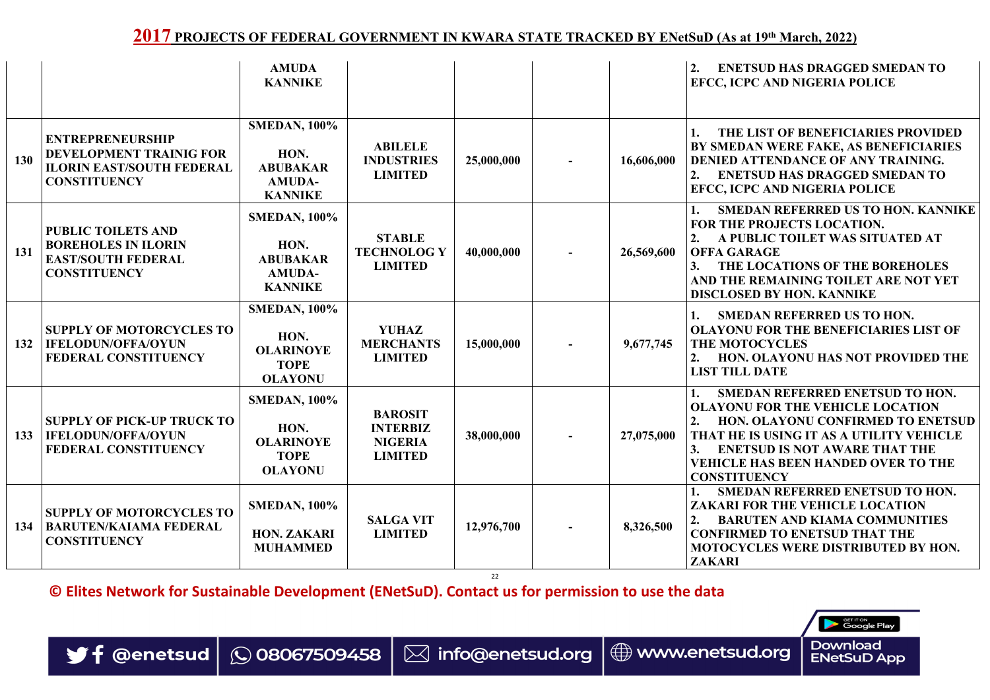22

**© Elites Network for Sustainable Development (ENetSuD). Contact us for permission to use the data**







|     |                                                                                                                      | <b>AMUDA</b><br><b>KANNIKE</b>                                                    |                                                                       |            |        |            | <b>ENETSUD HAS DRAGGED SMEDAN TO</b><br><b>EFCC, ICPC AND NIGERIA POLICE</b>                                                                                                                                                                                                                 |
|-----|----------------------------------------------------------------------------------------------------------------------|-----------------------------------------------------------------------------------|-----------------------------------------------------------------------|------------|--------|------------|----------------------------------------------------------------------------------------------------------------------------------------------------------------------------------------------------------------------------------------------------------------------------------------------|
| 130 | <b>ENTREPRENEURSHIP</b><br><b>DEVELOPMENT TRAINIG FOR</b><br><b>ILORIN EAST/SOUTH FEDERAL</b><br><b>CONSTITUENCY</b> | <b>SMEDAN, 100%</b><br>HON.<br><b>ABUBAKAR</b><br><b>AMUDA-</b><br><b>KANNIKE</b> | <b>ABILELE</b><br><b>INDUSTRIES</b><br><b>LIMITED</b>                 | 25,000,000 | $\sim$ | 16,606,000 | THE LIST OF BENEFICIARIES PROVIDED<br>BY SMEDAN WERE FAKE, AS BENEFICIARIES<br>DENIED ATTENDANCE OF ANY TRAINING.<br><b>ENETSUD HAS DRAGGED SMEDAN TO</b><br>EFCC, ICPC AND NIGERIA POLICE                                                                                                   |
| 131 | <b>PUBLIC TOILETS AND</b><br><b>BOREHOLES IN ILORIN</b><br><b>EAST/SOUTH FEDERAL</b><br><b>CONSTITUENCY</b>          | <b>SMEDAN, 100%</b><br>HON.<br><b>ABUBAKAR</b><br><b>AMUDA-</b><br><b>KANNIKE</b> | <b>STABLE</b><br><b>TECHNOLOGY</b><br><b>LIMITED</b>                  | 40,000,000 | $\sim$ | 26,569,600 | <b>SMEDAN REFERRED US TO HON. KANNIKE</b><br>FOR THE PROJECTS LOCATION.<br>A PUBLIC TOILET WAS SITUATED AT<br><b>OFFA GARAGE</b><br>THE LOCATIONS OF THE BOREHOLES<br>3.<br>AND THE REMAINING TOILET ARE NOT YET<br><b>DISCLOSED BY HON. KANNIKE</b>                                         |
| 132 | <b>SUPPLY OF MOTORCYCLES TO</b><br><b>IFELODUN/OFFA/OYUN</b><br><b>FEDERAL CONSTITUENCY</b>                          | <b>SMEDAN, 100%</b><br>HON.<br><b>OLARINOYE</b><br><b>TOPE</b><br><b>OLAYONU</b>  | <b>YUHAZ</b><br><b>MERCHANTS</b><br><b>LIMITED</b>                    | 15,000,000 | a ka   | 9,677,745  | <b>SMEDAN REFERRED US TO HON.</b><br><b>OLAYONU FOR THE BENEFICIARIES LIST OF</b><br><b>THE MOTOCYCLES</b><br><b>HON. OLAYONU HAS NOT PROVIDED THE</b><br><b>LIST TILL DATE</b>                                                                                                              |
| 133 | <b>SUPPLY OF PICK-UP TRUCK TO</b><br><b>IFELODUN/OFFA/OYUN</b><br><b>FEDERAL CONSTITUENCY</b>                        | <b>SMEDAN, 100%</b><br>HON.<br><b>OLARINOYE</b><br><b>TOPE</b><br><b>OLAYONU</b>  | <b>BAROSIT</b><br><b>INTERBIZ</b><br><b>NIGERIA</b><br><b>LIMITED</b> | 38,000,000 | $\sim$ | 27,075,000 | <b>SMEDAN REFERRED ENETSUD TO HON.</b><br><b>OLAYONU FOR THE VEHICLE LOCATION</b><br><b>HON. OLAYONU CONFIRMED TO ENETSUD</b><br>THAT HE IS USING IT AS A UTILITY VEHICLE<br><b>ENETSUD IS NOT AWARE THAT THE</b><br>3.<br><b>VEHICLE HAS BEEN HANDED OVER TO THE</b><br><b>CONSTITUENCY</b> |
| 134 | <b>SUPPLY OF MOTORCYCLES TO</b><br><b>BARUTEN/KAIAMA FEDERAL</b><br><b>CONSTITUENCY</b>                              | <b>SMEDAN, 100%</b><br><b>HON. ZAKARI</b><br><b>MUHAMMED</b>                      | <b>SALGA VIT</b><br><b>LIMITED</b>                                    | 12,976,700 |        | 8,326,500  | <b>SMEDAN REFERRED ENETSUD TO HON.</b><br><b>ZAKARI FOR THE VEHICLE LOCATION</b><br><b>BARUTEN AND KIAMA COMMUNITIES</b><br><b>CONFIRMED TO ENETSUD THAT THE</b><br><b>MOTOCYCLES WERE DISTRIBUTED BY HON.</b><br><b>ZAKARI</b>                                                              |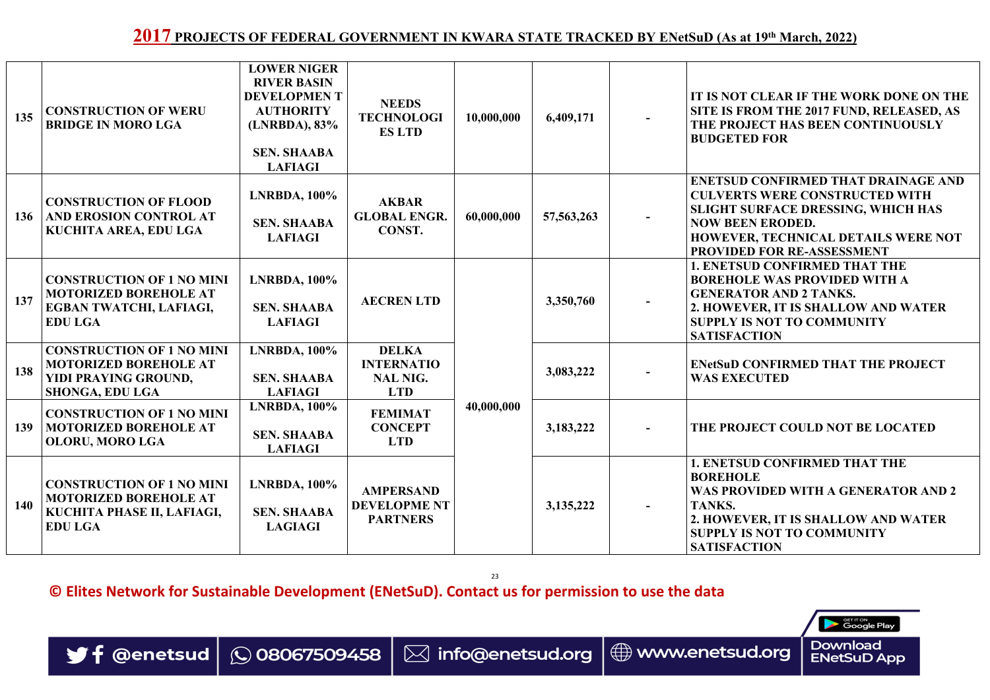23

**© Elites Network for Sustainable Development (ENetSuD). Contact us for permission to use the data**



| 135        | <b>CONSTRUCTION OF WERU</b><br><b>BRIDGE IN MORO LGA</b>                                                           | <b>LOWER NIGER</b><br><b>RIVER BASIN</b><br><b>DEVELOPMENT</b><br><b>AUTHORITY</b><br>(LNRBDA), 83%<br><b>SEN. SHAABA</b><br><b>LAFIAGI</b> | <b>NEEDS</b><br><b>TECHNOLOGI</b><br><b>ES LTD</b>                 | 10,000,000 | 6,409,171    |          | IT IS NOT CLEAR IF THE WORK DONE ON THE<br>SITE IS FROM THE 2017 FUND, RELEASED, AS<br>THE PROJECT HAS BEEN CONTINUOUSLY<br><b>BUDGETED FOR</b>                                                                                                |
|------------|--------------------------------------------------------------------------------------------------------------------|---------------------------------------------------------------------------------------------------------------------------------------------|--------------------------------------------------------------------|------------|--------------|----------|------------------------------------------------------------------------------------------------------------------------------------------------------------------------------------------------------------------------------------------------|
| 136        | <b>CONSTRUCTION OF FLOOD</b><br>AND EROSION CONTROL AT<br>KUCHITA AREA, EDU LGA                                    | <b>LNRBDA, 100%</b><br><b>SEN. SHAABA</b><br><b>LAFIAGI</b>                                                                                 | <b>AKBAR</b><br><b>GLOBAL ENGR.</b><br>CONST.                      | 60,000,000 | 57, 563, 263 | $\sim$   | <b>ENETSUD CONFIRMED THAT DRAINAGE AND</b><br><b>CULVERTS WERE CONSTRUCTED WITH</b><br><b>SLIGHT SURFACE DRESSING, WHICH HAS</b><br><b>NOW BEEN ERODED.</b><br><b>HOWEVER, TECHNICAL DETAILS WERE NOT</b><br><b>PROVIDED FOR RE-ASSESSMENT</b> |
| 137        | <b>CONSTRUCTION OF 1 NO MINI</b><br><b>MOTORIZED BOREHOLE AT</b><br>EGBAN TWATCHI, LAFIAGI,<br><b>EDU LGA</b>      | <b>LNRBDA, 100%</b><br><b>SEN. SHAABA</b><br><b>LAFIAGI</b>                                                                                 | <b>AECRENLTD</b>                                                   |            | 3,350,760    |          | <b>1. ENETSUD CONFIRMED THAT THE</b><br><b>BOREHOLE WAS PROVIDED WITH A</b><br><b>GENERATOR AND 2 TANKS.</b><br>2. HOWEVER, IT IS SHALLOW AND WATER<br><b>SUPPLY IS NOT TO COMMUNITY</b><br><b>SATISFACTION</b>                                |
| 138        | <b>CONSTRUCTION OF 1 NO MINI</b><br><b>MOTORIZED BOREHOLE AT</b><br>YIDI PRAYING GROUND,<br><b>SHONGA, EDU LGA</b> | <b>LNRBDA, 100%</b><br><b>SEN. SHAABA</b><br><b>LAFIAGI</b>                                                                                 | <b>DELKA</b><br><b>INTERNATIO</b><br><b>NAL NIG.</b><br><b>LTD</b> |            | 3,083,222    |          | <b>ENetSuD CONFIRMED THAT THE PROJECT</b><br><b>WAS EXECUTED</b>                                                                                                                                                                               |
| 139        | <b>CONSTRUCTION OF 1 NO MINI</b><br><b>MOTORIZED BOREHOLE AT</b><br><b>OLORU, MORO LGA</b>                         | <b>LNRBDA, 100%</b><br><b>SEN. SHAABA</b><br><b>LAFIAGI</b>                                                                                 | <b>FEMIMAT</b><br><b>CONCEPT</b><br><b>LTD</b>                     | 40,000,000 | 3,183,222    | $\sim$ . | THE PROJECT COULD NOT BE LOCATED                                                                                                                                                                                                               |
| <b>140</b> | <b>CONSTRUCTION OF 1 NO MINI</b><br><b>MOTORIZED BOREHOLE AT</b><br>KUCHITA PHASE II, LAFIAGI,<br><b>EDU LGA</b>   | $LNRBDA$ , $100\%$<br><b>SEN. SHAABA</b><br><b>LAGIAGI</b>                                                                                  | AMPERSAND<br><b>DEVELOPME NT</b><br><b>PARTNERS</b>                |            | 3, 135, 222  | $\sim$   | <b>1. ENETSUD CONFIRMED THAT THE</b><br><b>BOREHOLE</b><br>WAS PROVIDED WITH A GENERATOR AND 2<br>TANKS.<br>2. HOWEVER, IT IS SHALLOW AND WATER<br><b>SUPPLY IS NOT TO COMMUNITY</b><br><b>SATISFACTION</b>                                    |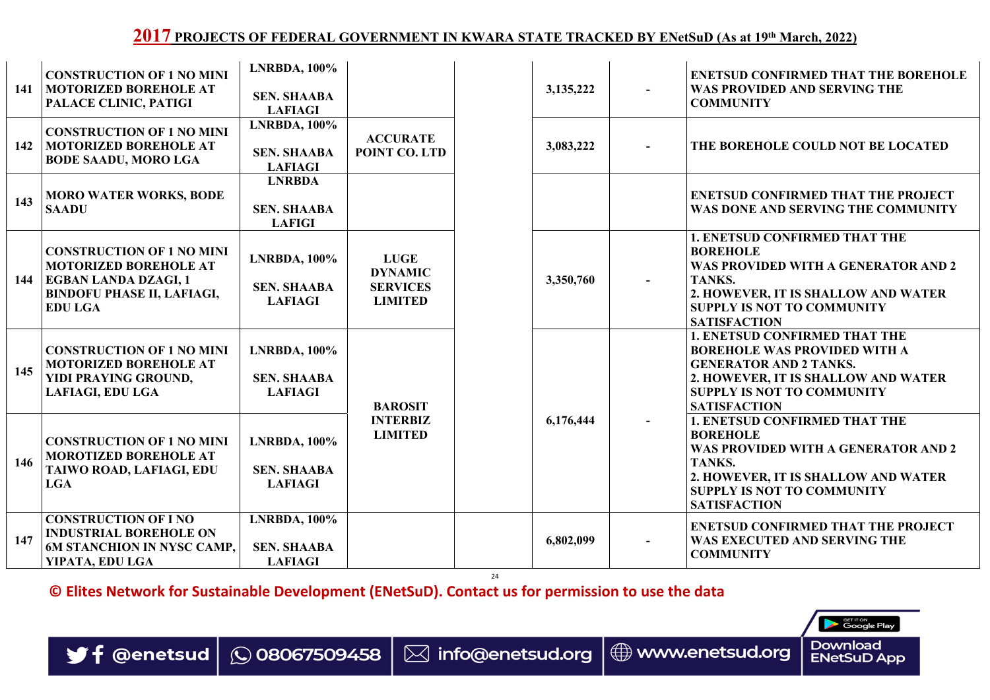24



**© Elites Network for Sustainable Development (ENetSuD). Contact us for permission to use the data**



| 141 | <b>CONSTRUCTION OF 1 NO MINI</b><br><b>MOTORIZED BOREHOLE AT</b><br>PALACE CLINIC, PATIGI                                                              | <b>LNRBDA, 100%</b><br><b>SEN. SHAABA</b><br><b>LAFIAGI</b> |                                                                    | 3, 135, 222 | $\sim$   | <b>ENETSUD CONFIRMED THAT THE BOREHOLE</b><br>WAS PROVIDED AND SERVING THE<br><b>COMMUNITY</b>                                                                                                                     |
|-----|--------------------------------------------------------------------------------------------------------------------------------------------------------|-------------------------------------------------------------|--------------------------------------------------------------------|-------------|----------|--------------------------------------------------------------------------------------------------------------------------------------------------------------------------------------------------------------------|
| 142 | <b>CONSTRUCTION OF 1 NO MINI</b><br><b>MOTORIZED BOREHOLE AT</b><br><b>BODE SAADU, MORO LGA</b>                                                        | $LNRBDA, 100\%$<br><b>SEN. SHAABA</b><br><b>LAFIAGI</b>     | <b>ACCURATE</b><br>POINT CO. LTD                                   | 3,083,222   | $\sim$   | THE BOREHOLE COULD NOT BE LOCATED                                                                                                                                                                                  |
| 143 | <b>MORO WATER WORKS, BODE</b><br><b>SAADU</b>                                                                                                          | <b>LNRBDA</b><br><b>SEN. SHAABA</b><br><b>LAFIGI</b>        |                                                                    |             |          | <b>ENETSUD CONFIRMED THAT THE PROJECT</b><br>WAS DONE AND SERVING THE COMMUNITY                                                                                                                                    |
| 144 | <b>CONSTRUCTION OF 1 NO MINI</b><br><b>MOTORIZED BOREHOLE AT</b><br><b>EGBAN LANDA DZAGI, 1</b><br><b>BINDOFU PHASE II, LAFIAGI,</b><br><b>EDU LGA</b> | <b>LNRBDA, 100%</b><br><b>SEN. SHAABA</b><br><b>LAFIAGI</b> | <b>LUGE</b><br><b>DYNAMIC</b><br><b>SERVICES</b><br><b>LIMITED</b> | 3,350,760   | $\sim$ . | <b>1. ENETSUD CONFIRMED THAT THE</b><br><b>BOREHOLE</b><br>WAS PROVIDED WITH A GENERATOR AND 2<br>TANKS.<br>2. HOWEVER, IT IS SHALLOW AND WATER<br><b>SUPPLY IS NOT TO COMMUNITY</b><br><b>SATISFACTION</b>        |
| 145 | <b>CONSTRUCTION OF 1 NO MINI</b><br><b>MOTORIZED BOREHOLE AT</b><br>YIDI PRAYING GROUND,<br><b>LAFIAGI, EDU LGA</b>                                    | $LNRBDA, 100\%$<br><b>SEN. SHAABA</b><br><b>LAFIAGI</b>     | <b>BAROSIT</b>                                                     |             |          | <b>1. ENETSUD CONFIRMED THAT THE</b><br><b>BOREHOLE WAS PROVIDED WITH A</b><br><b>GENERATOR AND 2 TANKS.</b><br>2. HOWEVER, IT IS SHALLOW AND WATER<br><b>SUPPLY IS NOT TO COMMUNITY</b><br><b>SATISFACTION</b>    |
| 146 | <b>CONSTRUCTION OF 1 NO MINI</b><br><b>MOROTIZED BOREHOLE AT</b><br>TAIWO ROAD, LAFIAGI, EDU<br><b>LGA</b>                                             | <b>LNRBDA, 100%</b><br><b>SEN. SHAABA</b><br><b>LAFIAGI</b> | <b>INTERBIZ</b><br><b>LIMITED</b>                                  | 6,176,444   | $\sim$ . | <b>1. ENETSUD CONFIRMED THAT THE</b><br><b>BOREHOLE</b><br>WAS PROVIDED WITH A GENERATOR AND 2<br><b>TANKS.</b><br>2. HOWEVER, IT IS SHALLOW AND WATER<br><b>SUPPLY IS NOT TO COMMUNITY</b><br><b>SATISFACTION</b> |
| 147 | <b>CONSTRUCTION OF I NO</b><br><b>INDUSTRIAL BOREHOLE ON</b><br><b>6M STANCHION IN NYSC CAMP,</b><br>YIPATA, EDU LGA                                   | <b>LNRBDA, 100%</b><br><b>SEN. SHAABA</b><br><b>LAFIAGI</b> |                                                                    | 6,802,099   | $\sim$   | <b>ENETSUD CONFIRMED THAT THE PROJECT</b><br>WAS EXECUTED AND SERVING THE<br><b>COMMUNITY</b>                                                                                                                      |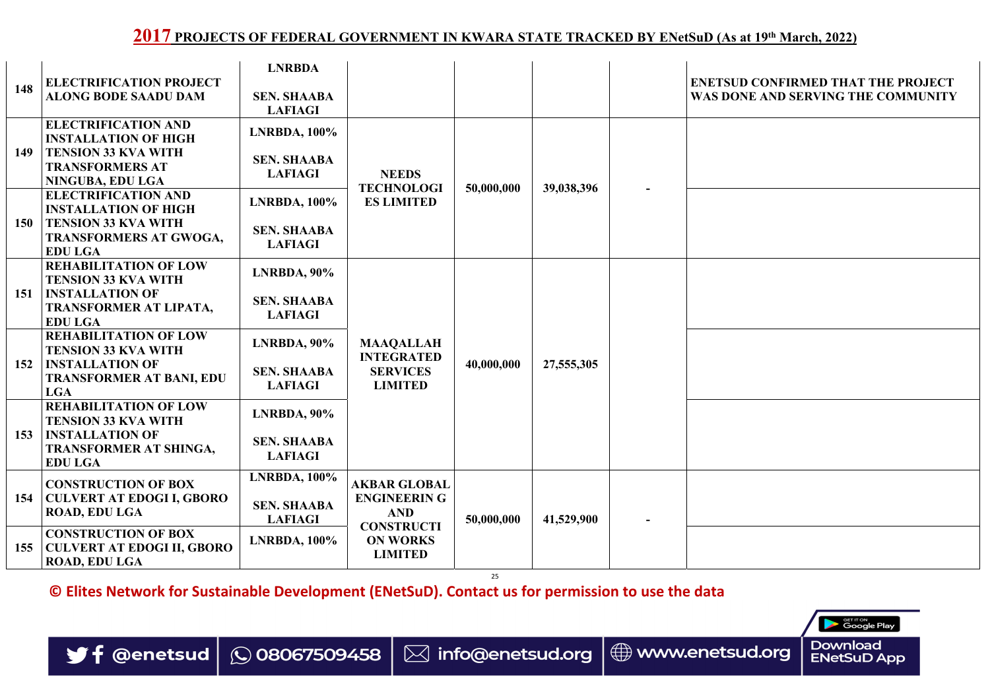25

**© Elites Network for Sustainable Development (ENetSuD). Contact us for permission to use the data**





|            |                                                                                         | <b>LNRBDA</b>                        |                                                        |            |                          |                   |
|------------|-----------------------------------------------------------------------------------------|--------------------------------------|--------------------------------------------------------|------------|--------------------------|-------------------|
| 148        | <b>ELECTRIFICATION PROJECT</b><br><b>ALONG BODE SAADU DAM</b>                           | <b>SEN. SHAABA</b><br><b>LAFIAGI</b> |                                                        |            |                          |                   |
|            | <b>ELECTRIFICATION AND</b><br><b>INSTALLATION OF HIGH</b>                               | <b>LNRBDA, 100%</b>                  |                                                        |            |                          |                   |
| <b>149</b> | <b>TENSION 33 KVA WITH</b><br><b>TRANSFORMERS AT</b><br>NINGUBA, EDU LGA                | <b>SEN. SHAABA</b><br><b>LAFIAGI</b> | <b>NEEDS</b>                                           |            |                          |                   |
|            | <b>ELECTRIFICATION AND</b><br><b>INSTALLATION OF HIGH</b>                               | <b>LNRBDA, 100%</b>                  | <b>TECHNOLOGI</b><br><b>ES LIMITED</b>                 | 50,000,000 | 39,038,396               |                   |
| <b>150</b> | <b>TENSION 33 KVA WITH</b><br><b>TRANSFORMERS AT GWOGA,</b><br><b>EDU LGA</b>           | <b>SEN. SHAABA</b><br><b>LAFIAGI</b> |                                                        |            |                          |                   |
|            | <b>REHABILITATION OF LOW</b><br><b>TENSION 33 KVA WITH</b>                              | <b>LNRBDA, 90%</b>                   |                                                        |            |                          |                   |
| 151        | <b>INSTALLATION OF</b><br>TRANSFORMER AT LIPATA,<br><b>EDU LGA</b>                      | <b>SEN. SHAABA</b><br><b>LAFIAGI</b> |                                                        |            | $\overline{\phantom{a}}$ |                   |
|            | <b>REHABILITATION OF LOW</b><br><b>TENSION 33 KVA WITH</b>                              | <b>LNRBDA, 90%</b>                   | <b>MAAQALLAH</b>                                       | 40,000,000 | 27,555,305               |                   |
| 152        | <b>INSTALLATION OF</b><br><b>TRANSFORMER AT BANI, EDU</b><br><b>LGA</b>                 | <b>SEN. SHAABA</b><br><b>LAFIAGI</b> | <b>INTEGRATED</b><br><b>SERVICES</b><br><b>LIMITED</b> |            |                          | $\triangle$<br>С. |
|            | <b>REHABILITATION OF LOW</b><br><b>TENSION 33 KVA WITH</b>                              | <b>LNRBDA</b> , 90%                  |                                                        |            |                          |                   |
| 153        | <b>INSTALLATION OF</b><br>TRANSFORMER AT SHINGA,<br><b>EDU LGA</b>                      | <b>SEN. SHAABA</b><br><b>LAFIAGI</b> |                                                        |            |                          |                   |
|            | <b>CONSTRUCTION OF BOX</b>                                                              | <b>LNRBDA, 100%</b>                  | <b>AKBAR GLOBAL</b>                                    |            |                          |                   |
| 154        | <b>CULVERT AT EDOGI I, GBORO</b><br><b>ROAD, EDU LGA</b>                                | <b>SEN. SHAABA</b><br><b>LAFIAGI</b> | <b>ENGINEERING</b><br><b>AND</b>                       | 50,000,000 | 41,529,900               |                   |
| 155        | <b>CONSTRUCTION OF BOX</b><br><b>CULVERT AT EDOGI II, GBORO</b><br><b>ROAD, EDU LGA</b> | <b>LNRBDA, 100%</b>                  | <b>CONSTRUCTI</b><br><b>ON WORKS</b><br><b>LIMITED</b> |            |                          |                   |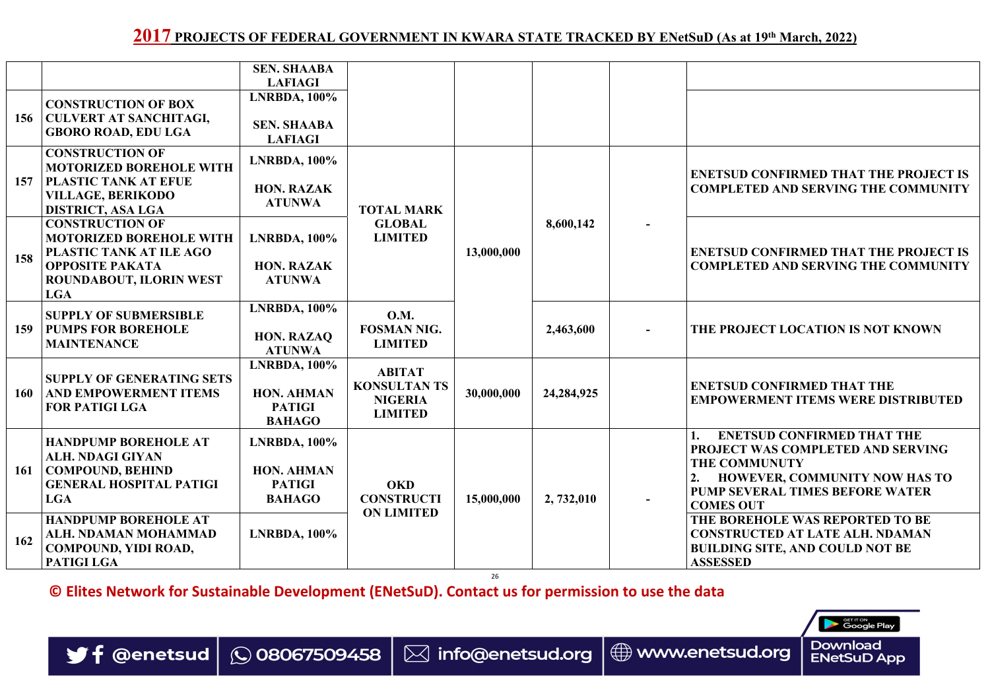26

**© Elites Network for Sustainable Development (ENetSuD). Contact us for permission to use the data**





|            |                                                                                                                              | <b>SEN. SHAABA</b><br><b>LAFIAGI</b>                                       |                                                                          |            |              |                                                                                                                                                                                                             |
|------------|------------------------------------------------------------------------------------------------------------------------------|----------------------------------------------------------------------------|--------------------------------------------------------------------------|------------|--------------|-------------------------------------------------------------------------------------------------------------------------------------------------------------------------------------------------------------|
|            | <b>CONSTRUCTION OF BOX</b>                                                                                                   | <b>LNRBDA, 100%</b>                                                        |                                                                          |            |              |                                                                                                                                                                                                             |
| 156        | CULVERT AT SANCHITAGI,<br><b>GBORO ROAD, EDU LGA</b>                                                                         | <b>SEN. SHAABA</b><br><b>LAFIAGI</b>                                       |                                                                          |            |              |                                                                                                                                                                                                             |
|            | <b>CONSTRUCTION OF</b><br><b>MOTORIZED BOREHOLE WITH</b>                                                                     | <b>LNRBDA, 100%</b>                                                        |                                                                          |            |              |                                                                                                                                                                                                             |
| 157        | <b>PLASTIC TANK AT EFUE</b><br><b>VILLAGE, BERIKODO</b><br><b>DISTRICT, ASA LGA</b>                                          | <b>HON. RAZAK</b><br><b>ATUNWA</b>                                         | <b>TOTAL MARK</b>                                                        |            |              | <b>ENETSUD CONFIRMED THAT THE PROJECT IS</b><br><b>COMPLETED AND SERVING THE COMMUNITY</b>                                                                                                                  |
|            | <b>CONSTRUCTION OF</b><br><b>MOTORIZED BOREHOLE WITH</b>                                                                     | $LNRBDA$ , $100\%$                                                         | <b>GLOBAL</b><br><b>LIMITED</b>                                          |            | 8,600,142    |                                                                                                                                                                                                             |
| 158        | <b>PLASTIC TANK AT ILE AGO</b><br><b>OPPOSITE PAKATA</b><br><b>ROUNDABOUT, ILORIN WEST</b><br><b>LGA</b>                     | <b>HON. RAZAK</b><br><b>ATUNWA</b>                                         |                                                                          | 13,000,000 |              | <b>ENETSUD CONFIRMED THAT THE PROJECT IS</b><br><b>COMPLETED AND SERVING THE COMMUNITY</b>                                                                                                                  |
| 159        | <b>SUPPLY OF SUBMERSIBLE</b><br><b>PUMPS FOR BOREHOLE</b><br><b>MAINTENANCE</b>                                              | <b>LNRBDA, 100%</b><br><b>HON. RAZAQ</b><br><b>ATUNWA</b>                  | <b>O.M.</b><br><b>FOSMAN NIG.</b><br><b>LIMITED</b>                      |            | 2,463,600    | THE PROJECT LOCATION IS NOT KNOWN                                                                                                                                                                           |
| 160        | <b>SUPPLY OF GENERATING SETS</b><br><b>AND EMPOWERMENT ITEMS</b><br><b>FOR PATIGI LGA</b>                                    | <b>LNRBDA, 100%</b><br><b>HON. AHMAN</b><br><b>PATIGI</b><br><b>BAHAGO</b> | <b>ABITAT</b><br><b>KONSULTAN TS</b><br><b>NIGERIA</b><br><b>LIMITED</b> | 30,000,000 | 24, 284, 925 | <b>ENETSUD CONFIRMED THAT THE</b><br><b>EMPOWERMENT ITEMS WERE DISTRIBUTED</b>                                                                                                                              |
| <b>161</b> | <b>HANDPUMP BOREHOLE AT</b><br><b>ALH. NDAGI GIYAN</b><br>  COMPOUND, BEHIND<br><b>GENERAL HOSPITAL PATIGI</b><br><b>LGA</b> | $LNRBDA, 100\%$<br><b>HON. AHMAN</b><br><b>PATIGI</b><br><b>BAHAGO</b>     | <b>OKD</b><br><b>CONSTRUCTI</b>                                          | 15,000,000 | 2, 732,010   | <b>ENETSUD CONFIRMED THAT THE</b><br><b>PROJECT WAS COMPLETED AND SERVING</b><br><b>THE COMMUNUTY</b><br><b>HOWEVER, COMMUNITY NOW HAS TO</b><br><b>PUMP SEVERAL TIMES BEFORE WATER</b><br><b>COMES OUT</b> |
| 162        | <b>HANDPUMP BOREHOLE AT</b><br>ALH. NDAMAN MOHAMMAD<br><b>COMPOUND, YIDI ROAD,</b><br>PATIGI LGA                             | <b>LNRBDA, 100%</b>                                                        | <b>ON LIMITED</b>                                                        |            |              | THE BOREHOLE WAS REPORTED TO BE<br><b>CONSTRUCTED AT LATE ALH. NDAMAN</b><br><b>BUILDING SITE, AND COULD NOT BE</b><br><b>ASSESSED</b>                                                                      |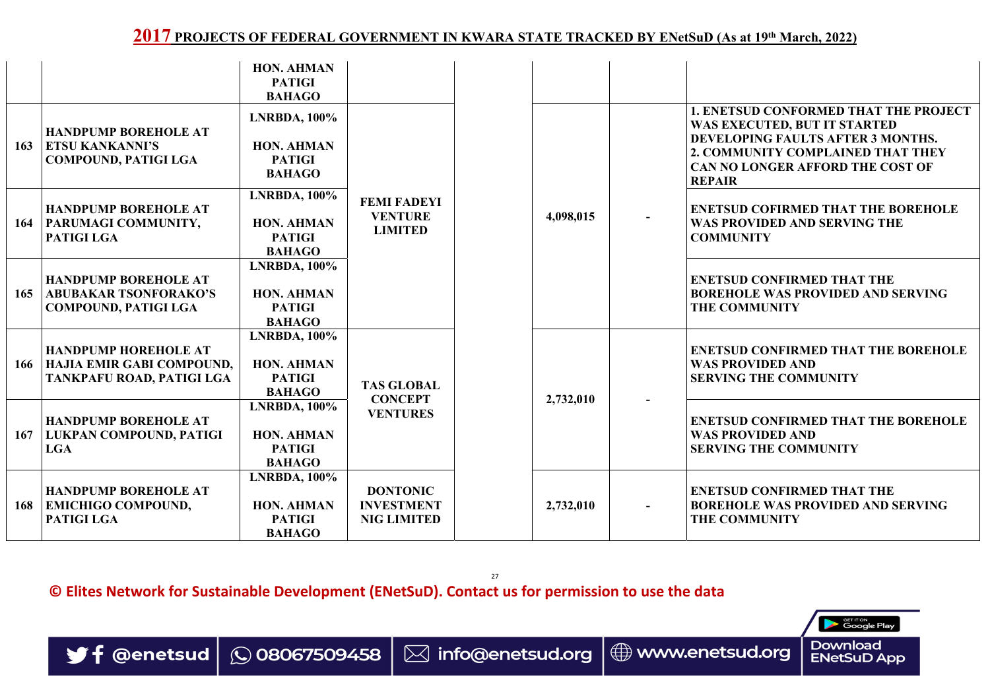27 **© Elites Network for Sustainable Development (ENetSuD). Contact us for permission to use the data**



|     |                                                                                              | <b>HON. AHMAN</b><br><b>PATIGI</b><br><b>BAHAGO</b>                        |                                                            |           |  |                                                                                                                                                                                                             |
|-----|----------------------------------------------------------------------------------------------|----------------------------------------------------------------------------|------------------------------------------------------------|-----------|--|-------------------------------------------------------------------------------------------------------------------------------------------------------------------------------------------------------------|
| 163 | <b>HANDPUMP BOREHOLE AT</b><br><b>ETSU KANKANNI'S</b><br><b>COMPOUND, PATIGI LGA</b>         | <b>LNRBDA, 100%</b><br><b>HON. AHMAN</b><br><b>PATIGI</b><br><b>BAHAGO</b> |                                                            |           |  | <b>1. ENETSUD CONFORMED THAT THE PROJECT</b><br>WAS EXECUTED, BUT IT STARTED<br>DEVELOPING FAULTS AFTER 3 MONTHS.<br>2. COMMUNITY COMPLAINED THAT THEY<br>CAN NO LONGER AFFORD THE COST OF<br><b>REPAIR</b> |
| 164 | <b>HANDPUMP BOREHOLE AT</b><br><b>PARUMAGI COMMUNITY,</b><br>PATIGI LGA                      | <b>LNRBDA, 100%</b><br><b>HON. AHMAN</b><br><b>PATIGI</b><br><b>BAHAGO</b> | <b>FEMI FADEYI</b><br><b>VENTURE</b><br><b>LIMITED</b>     | 4,098,015 |  | <b>ENETSUD COFIRMED THAT THE BOREHOLE</b><br>WAS PROVIDED AND SERVING THE<br><b>COMMUNITY</b>                                                                                                               |
| 165 | <b>HANDPUMP BOREHOLE AT</b><br><b>ABUBAKAR TSONFORAKO'S</b><br><b>COMPOUND, PATIGI LGA</b>   | <b>LNRBDA, 100%</b><br><b>HON. AHMAN</b><br><b>PATIGI</b><br><b>BAHAGO</b> |                                                            |           |  | <b>ENETSUD CONFIRMED THAT THE</b><br><b>BOREHOLE WAS PROVIDED AND SERVING</b><br><b>THE COMMUNITY</b>                                                                                                       |
| 166 | <b>HANDPUMP HOREHOLE AT</b><br><b>HAJIA EMIR GABI COMPOUND,</b><br>TANKPAFU ROAD, PATIGI LGA | <b>LNRBDA, 100%</b><br><b>HON. AHMAN</b><br><b>PATIGI</b><br><b>BAHAGO</b> | <b>TAS GLOBAL</b>                                          | 2,732,010 |  | <b>ENETSUD CONFIRMED THAT THE BOREHOLE</b><br><b>WAS PROVIDED AND</b><br><b>SERVING THE COMMUNITY</b>                                                                                                       |
| 167 | <b>HANDPUMP BOREHOLE AT</b><br>  LUKPAN COMPOUND, PATIGI<br><b>LGA</b>                       | <b>LNRBDA, 100%</b><br><b>HON. AHMAN</b><br><b>PATIGI</b><br><b>BAHAGO</b> | <b>CONCEPT</b><br><b>VENTURES</b>                          |           |  | <b>ENETSUD CONFIRMED THAT THE BOREHOLE</b><br><b>WAS PROVIDED AND</b><br><b>SERVING THE COMMUNITY</b>                                                                                                       |
| 168 | <b>HANDPUMP BOREHOLE AT</b><br><b>EMICHIGO COMPOUND,</b><br>PATIGI LGA                       | <b>LNRBDA, 100%</b><br><b>HON. AHMAN</b><br><b>PATIGI</b><br><b>BAHAGO</b> | <b>DONTONIC</b><br><b>INVESTMENT</b><br><b>NIG LIMITED</b> | 2,732,010 |  | <b>ENETSUD CONFIRMED THAT THE</b><br><b>BOREHOLE WAS PROVIDED AND SERVING</b><br><b>THE COMMUNITY</b>                                                                                                       |